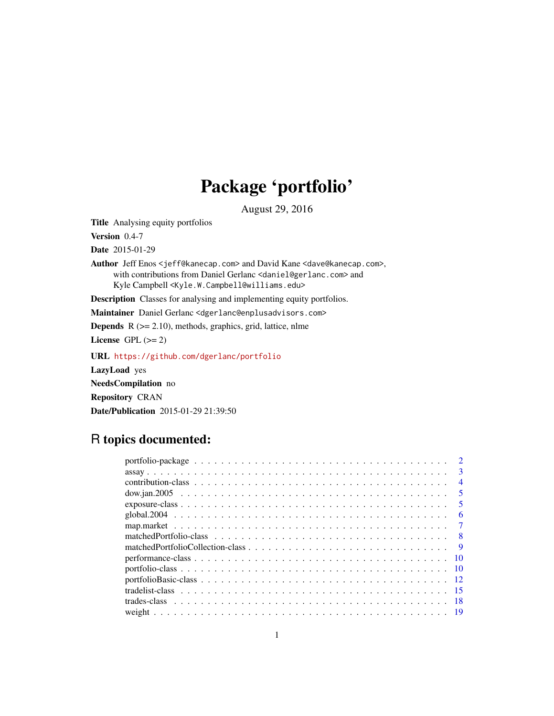# Package 'portfolio'

August 29, 2016

Title Analysing equity portfolios

Version 0.4-7

Date 2015-01-29

Author Jeff Enos <jeff@kanecap.com> and David Kane <dave@kanecap.com>, with contributions from Daniel Gerlanc <daniel@gerlanc.com> and Kyle Campbell <Kyle.W.Campbell@williams.edu>

Description Classes for analysing and implementing equity portfolios.

Maintainer Daniel Gerlanc <dgerlanc@enplusadvisors.com>

**Depends** R  $(>= 2.10)$ , methods, graphics, grid, lattice, nlme

License GPL  $(>= 2)$ 

URL <https://github.com/dgerlanc/portfolio>

LazyLoad yes

NeedsCompilation no

Repository CRAN

Date/Publication 2015-01-29 21:39:50

## R topics documented:

| $\overline{2}$          |  |
|-------------------------|--|
| 3                       |  |
| $\overline{4}$          |  |
| $\overline{\mathbf{5}}$ |  |
| -5.                     |  |
| 6                       |  |
| -7                      |  |
|                         |  |
| -9                      |  |
| -10                     |  |
|                         |  |
|                         |  |
|                         |  |
|                         |  |
|                         |  |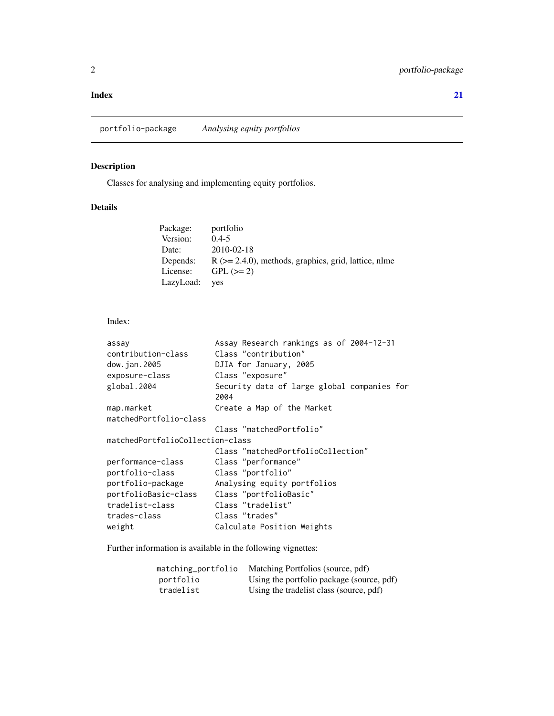#### <span id="page-1-0"></span>**Index** [21](#page-20-0)

portfolio-package *Analysing equity portfolios*

### Description

Classes for analysing and implementing equity portfolios.

#### Details

| Package:  | portfolio                                                  |
|-----------|------------------------------------------------------------|
| Version:  | $0.4 - 5$                                                  |
| Date:     | $2010 - 02 - 18$                                           |
| Depends:  | $R$ ( $>= 2.4.0$ ), methods, graphics, grid, lattice, nlme |
| License:  | $GPL (=2)$                                                 |
| LazyLoad: | yes                                                        |

Index:

| assay<br>contribution-class      | Assay Research rankings as of 2004-12-31<br>Class "contribution" |
|----------------------------------|------------------------------------------------------------------|
| dow.jan.2005                     | DJIA for January, 2005                                           |
| exposure-class                   | Class "exposure"                                                 |
| global.2004                      | Security data of large global companies for<br>2004              |
| map.market                       | Create a Map of the Market                                       |
| matchedPortfolio-class           |                                                                  |
|                                  | Class "matchedPortfolio"                                         |
| matchedPortfolioCollection-class |                                                                  |
|                                  | Class "matchedPortfolioCollection"                               |
| performance-class                | Class "performance"                                              |
| portfolio-class                  | Class "portfolio"                                                |
| portfolio-package                | Analysing equity portfolios                                      |
| portfolioBasic-class             | Class "portfolioBasic"                                           |
| tradelist-class                  | Class "tradelist"                                                |
| trades-class                     | Class "trades"                                                   |
| weight                           | Calculate Position Weights                                       |

Further information is available in the following vignettes:

| matching_portfolio | Matching Portfolios (source, pdf)         |
|--------------------|-------------------------------------------|
| portfolio          | Using the portfolio package (source, pdf) |
| tradelist          | Using the tradelist class (source, pdf)   |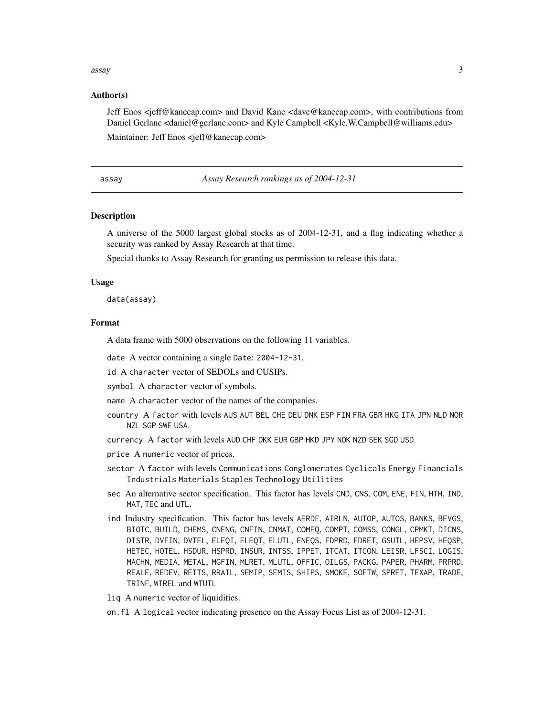#### <span id="page-2-0"></span> $\frac{1}{3}$  assay  $\frac{3}{3}$

#### Author(s)

Jeff Enos <jeff@kanecap.com> and David Kane <dave@kanecap.com>, with contributions from Daniel Gerlanc <daniel@gerlanc.com> and Kyle Campbell <Kyle.W.Campbell@williams.edu> Maintainer: Jeff Enos <jeff@kanecap.com>

assay *Assay Research rankings as of 2004-12-31*

#### **Description**

A universe of the 5000 largest global stocks as of 2004-12-31, and a flag indicating whether a security was ranked by Assay Research at that time.

Special thanks to Assay Research for granting us permission to release this data.

#### Usage

data(assay)

#### Format

A data frame with 5000 observations on the following 11 variables.

- date A vector containing a single Date: 2004-12-31.
- id A character vector of SEDOLs and CUSIPs.

symbol A character vector of symbols.

- name A character vector of the names of the companies.
- country A factor with levels AUS AUT BEL CHE DEU DNK ESP FIN FRA GBR HKG ITA JPN NLD NOR NZL SGP SWE USA.
- currency A factor with levels AUD CHF DKK EUR GBP HKD JPY NOK NZD SEK SGD USD.
- price A numeric vector of prices.
- sector A factor with levels Communications Conglomerates Cyclicals Energy Financials Industrials Materials Staples Technology Utilities
- sec An alternative sector specification. This factor has levels CND, CNS, COM, ENE, FIN, HTH, IND, MAT, TEC and UTL.
- ind Industry specification. This factor has levels AERDF, AIRLN, AUTOP, AUTOS, BANKS, BEVGS, BIOTC, BUILD, CHEMS, CNENG, CNFIN, CNMAT, COMEQ, COMPT, COMSS, CONGL, CPMKT, DICNS, DISTR, DVFIN, DVTEL, ELEQI, ELEQT, ELUTL, ENEQS, FDPRD, FDRET, GSUTL, HEPSV, HEQSP, HETEC, HOTEL, HSDUR, HSPRD, INSUR, INTSS, IPPET, ITCAT, ITCON, LEISR, LFSCI, LOGIS, MACHN, MEDIA, METAL, MGFIN, MLRET, MLUTL, OFFIC, OILGS, PACKG, PAPER, PHARM, PRPRD, REALE, REDEV, REITS, RRAIL, SEMIP, SEMIS, SHIPS, SMOKE, SOFTW, SPRET, TEXAP, TRADE, TRINF, WIREL and WTUTL
- liq A numeric vector of liquidities.

on.fl A logical vector indicating presence on the Assay Focus List as of 2004-12-31.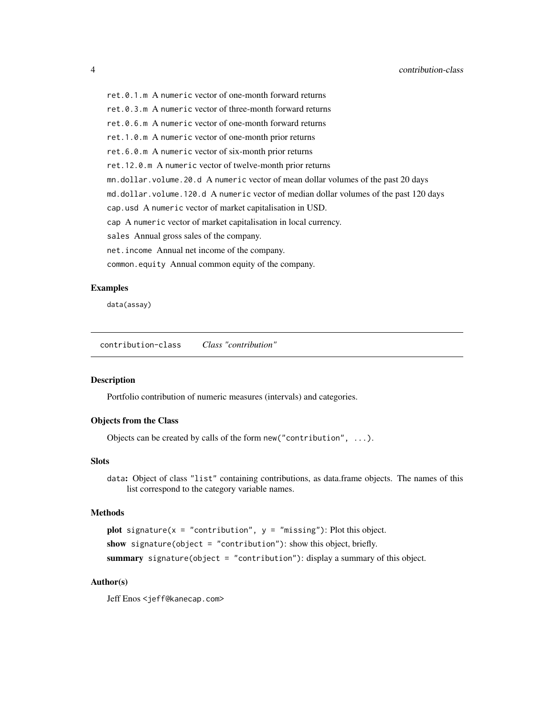<span id="page-3-0"></span>

ret.0.1.m A numeric vector of one-month forward returns

ret.0.3.m A numeric vector of three-month forward returns

ret.0.6.m A numeric vector of one-month forward returns

ret.1.0.m A numeric vector of one-month prior returns

ret.6.0.m A numeric vector of six-month prior returns

ret.12.0.m A numeric vector of twelve-month prior returns

mn.dollar.volume.20.d A numeric vector of mean dollar volumes of the past 20 days

md.dollar.volume.120.d A numeric vector of median dollar volumes of the past 120 days

cap.usd A numeric vector of market capitalisation in USD.

cap A numeric vector of market capitalisation in local currency.

sales Annual gross sales of the company.

net.income Annual net income of the company.

common.equity Annual common equity of the company.

#### Examples

data(assay)

contribution-class *Class "contribution"*

#### **Description**

Portfolio contribution of numeric measures (intervals) and categories.

#### Objects from the Class

Objects can be created by calls of the form new("contribution", ...).

#### **Slots**

data: Object of class "list" containing contributions, as data.frame objects. The names of this list correspond to the category variable names.

#### Methods

plot signature( $x =$  "contribution",  $y =$  "missing"): Plot this object. show signature(object = "contribution"): show this object, briefly. summary signature(object = "contribution"): display a summary of this object.

#### Author(s)

Jeff Enos <jeff@kanecap.com>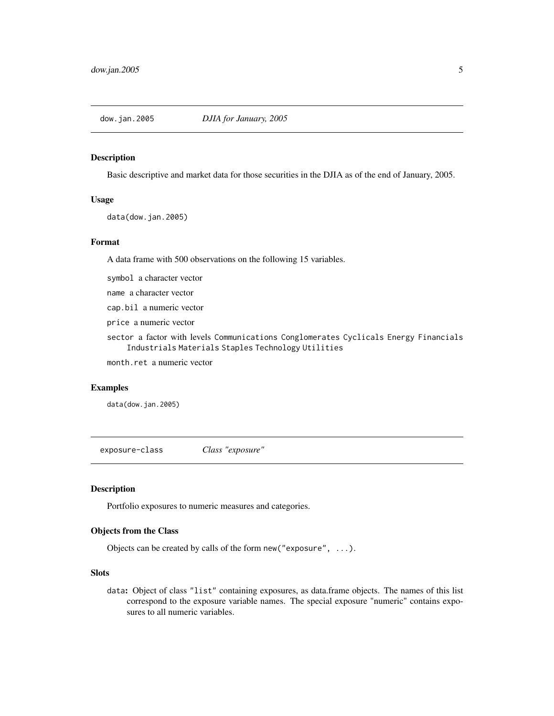<span id="page-4-0"></span>

#### Description

Basic descriptive and market data for those securities in the DJIA as of the end of January, 2005.

#### Usage

data(dow.jan.2005)

#### Format

A data frame with 500 observations on the following 15 variables.

symbol a character vector

name a character vector

cap.bil a numeric vector

price a numeric vector

sector a factor with levels Communications Conglomerates Cyclicals Energy Financials Industrials Materials Staples Technology Utilities

month.ret a numeric vector

#### Examples

data(dow.jan.2005)

exposure-class *Class "exposure"*

#### Description

Portfolio exposures to numeric measures and categories.

#### Objects from the Class

Objects can be created by calls of the form new("exposure", ...).

#### Slots

data: Object of class "list" containing exposures, as data.frame objects. The names of this list correspond to the exposure variable names. The special exposure "numeric" contains exposures to all numeric variables.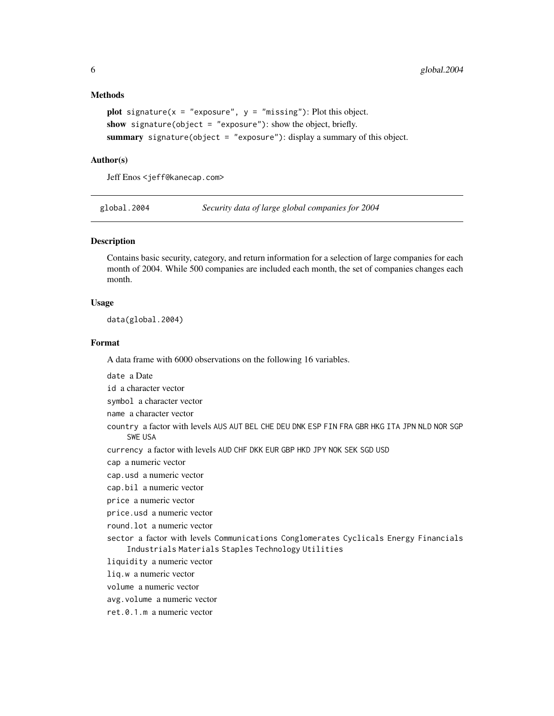#### Methods

```
plot signature(x = "exposure", y = "missing"): Plot this object.
show signature(object = "exposure"): show the object, briefly.
summary signature(object = "exposure"): display a summary of this object.
```
#### Author(s)

Jeff Enos <jeff@kanecap.com>

global.2004 *Security data of large global companies for 2004*

#### Description

Contains basic security, category, and return information for a selection of large companies for each month of 2004. While 500 companies are included each month, the set of companies changes each month.

#### Usage

data(global.2004)

#### Format

A data frame with 6000 observations on the following 16 variables.

date a Date id a character vector symbol a character vector name a character vector country a factor with levels AUS AUT BEL CHE DEU DNK ESP FIN FRA GBR HKG ITA JPN NLD NOR SGP SWE USA currency a factor with levels AUD CHF DKK EUR GBP HKD JPY NOK SEK SGD USD cap a numeric vector cap.usd a numeric vector cap.bil a numeric vector price a numeric vector price.usd a numeric vector round.lot a numeric vector sector a factor with levels Communications Conglomerates Cyclicals Energy Financials Industrials Materials Staples Technology Utilities liquidity a numeric vector liq.w a numeric vector volume a numeric vector avg.volume a numeric vector ret.0.1.m a numeric vector

<span id="page-5-0"></span>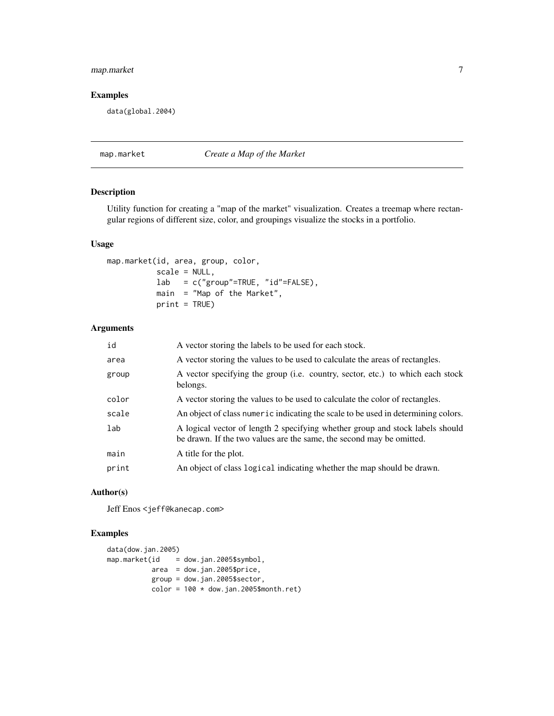#### <span id="page-6-0"></span>map.market 7

#### Examples

data(global.2004)

#### map.market *Create a Map of the Market*

#### Description

Utility function for creating a "map of the market" visualization. Creates a treemap where rectangular regions of different size, color, and groupings visualize the stocks in a portfolio.

#### Usage

```
map.market(id, area, group, color,
           scale = NULL,
           lab = c("group"=TRUE, "id"=FALSE),
           main = "Map of the Market",
          print = TRUE)
```
#### Arguments

| id    | A vector storing the labels to be used for each stock.                                                                                                |
|-------|-------------------------------------------------------------------------------------------------------------------------------------------------------|
| area  | A vector storing the values to be used to calculate the areas of rectangles.                                                                          |
| group | A vector specifying the group (i.e. country, sector, etc.) to which each stock<br>belongs.                                                            |
| color | A vector storing the values to be used to calculate the color of rectangles.                                                                          |
| scale | An object of class numeric indicating the scale to be used in determining colors.                                                                     |
| lab   | A logical vector of length 2 specifying whether group and stock labels should<br>be drawn. If the two values are the same, the second may be omitted. |
| main  | A title for the plot.                                                                                                                                 |
| print | An object of class logical indicating whether the map should be drawn.                                                                                |

#### Author(s)

Jeff Enos <jeff@kanecap.com>

#### Examples

```
data(dow.jan.2005)
map.market(id = dow.jan.2005$symbol,
          area = dow.jan.2005$price,
           group = dow.jan.2005$sector,
           color = 100 * downJoin.2005$month.ret)
```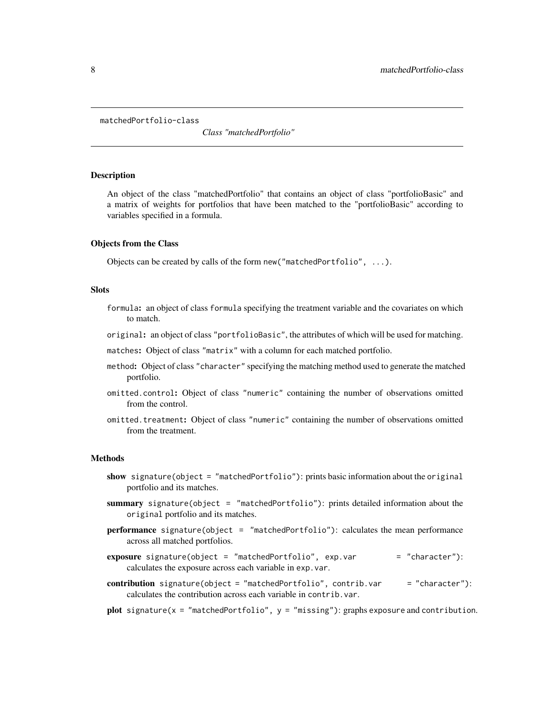<span id="page-7-0"></span>matchedPortfolio-class

*Class "matchedPortfolio"*

#### Description

An object of the class "matchedPortfolio" that contains an object of class "portfolioBasic" and a matrix of weights for portfolios that have been matched to the "portfolioBasic" according to variables specified in a formula.

#### Objects from the Class

Objects can be created by calls of the form new("matchedPortfolio", ...).

#### Slots

- formula: an object of class formula specifying the treatment variable and the covariates on which to match.
- original: an object of class "portfolioBasic", the attributes of which will be used for matching.
- matches: Object of class "matrix" with a column for each matched portfolio.
- method: Object of class "character" specifying the matching method used to generate the matched portfolio.
- omitted.control: Object of class "numeric" containing the number of observations omitted from the control.
- omitted.treatment: Object of class "numeric" containing the number of observations omitted from the treatment.

#### Methods

- show signature(object = "matchedPortfolio"): prints basic information about the original portfolio and its matches.
- summary signature(object = "matchedPortfolio"): prints detailed information about the original portfolio and its matches.
- performance signature(object = "matchedPortfolio"): calculates the mean performance across all matched portfolios.
- exposure signature(object = "matchedPortfolio",  $exp.var$  = "character"): calculates the exposure across each variable in exp.var.
- contribution signature(object = "matchedPortfolio", contrib.var = "character"): calculates the contribution across each variable in contrib.var.
- plot signature( $x = '$  matchedPortfolio",  $y = '$  missing"): graphs exposure and contribution.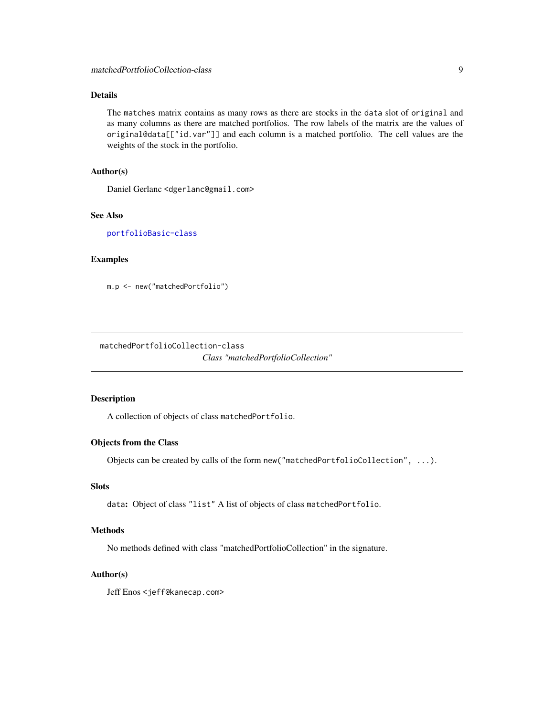#### <span id="page-8-0"></span>Details

The matches matrix contains as many rows as there are stocks in the data slot of original and as many columns as there are matched portfolios. The row labels of the matrix are the values of original@data[["id.var"]] and each column is a matched portfolio. The cell values are the weights of the stock in the portfolio.

#### Author(s)

Daniel Gerlanc <dgerlanc@gmail.com>

#### See Also

[portfolioBasic-class](#page-11-1)

#### Examples

m.p <- new("matchedPortfolio")

matchedPortfolioCollection-class

*Class "matchedPortfolioCollection"*

#### Description

A collection of objects of class matchedPortfolio.

#### Objects from the Class

Objects can be created by calls of the form new("matchedPortfolioCollection", ...).

#### Slots

data: Object of class "list" A list of objects of class matchedPortfolio.

#### Methods

No methods defined with class "matchedPortfolioCollection" in the signature.

#### Author(s)

Jeff Enos <jeff@kanecap.com>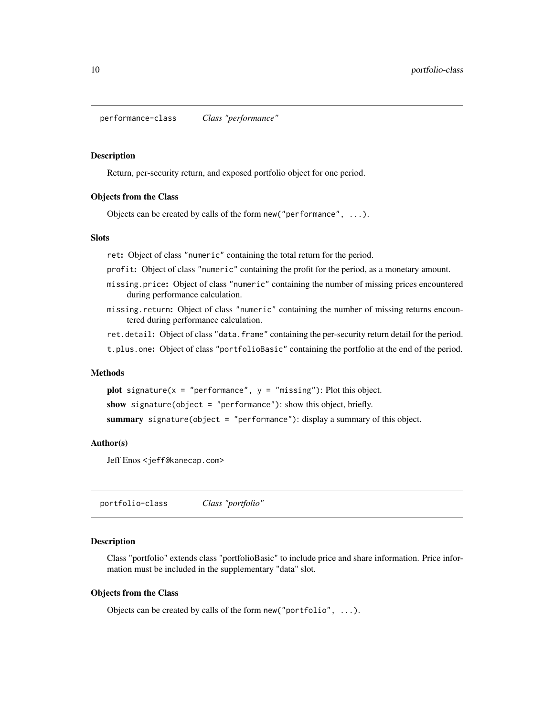<span id="page-9-0"></span>performance-class *Class "performance"*

#### Description

Return, per-security return, and exposed portfolio object for one period.

#### Objects from the Class

Objects can be created by calls of the form new ("performance",  $\dots$ ).

#### **Slots**

ret: Object of class "numeric" containing the total return for the period.

profit: Object of class "numeric" containing the profit for the period, as a monetary amount.

- missing.price: Object of class "numeric" containing the number of missing prices encountered during performance calculation.
- missing.return: Object of class "numeric" containing the number of missing returns encountered during performance calculation.

ret.detail: Object of class "data.frame" containing the per-security return detail for the period.

t.plus.one: Object of class "portfolioBasic" containing the portfolio at the end of the period.

#### Methods

plot signature( $x = "performance", y = "missing");$  Plot this object. show signature(object = "performance"): show this object, briefly. summary signature(object = "performance"): display a summary of this object.

#### Author(s)

Jeff Enos <jeff@kanecap.com>

portfolio-class *Class "portfolio"*

#### Description

Class "portfolio" extends class "portfolioBasic" to include price and share information. Price information must be included in the supplementary "data" slot.

#### Objects from the Class

Objects can be created by calls of the form new("portfolio", ...).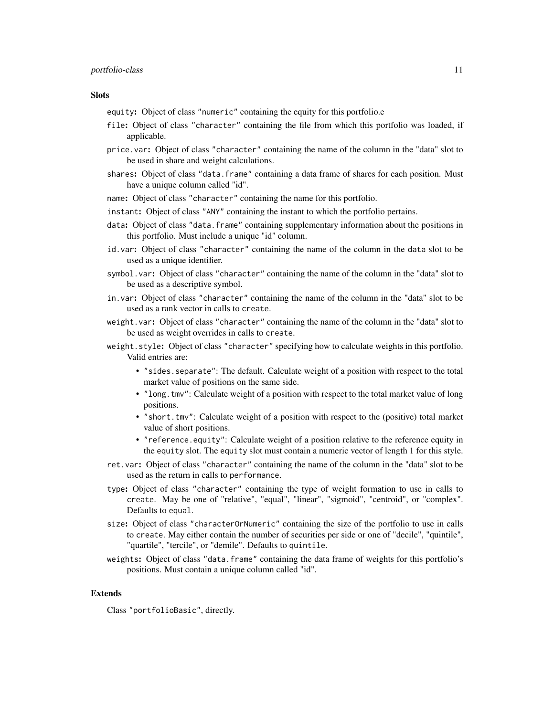#### portfolio-class 11

#### **Slots**

equity: Object of class "numeric" containing the equity for this portfolio.e

- file: Object of class "character" containing the file from which this portfolio was loaded, if applicable.
- price.var: Object of class "character" containing the name of the column in the "data" slot to be used in share and weight calculations.
- shares: Object of class "data.frame" containing a data frame of shares for each position. Must have a unique column called "id".
- name: Object of class "character" containing the name for this portfolio.
- instant: Object of class "ANY" containing the instant to which the portfolio pertains.
- data: Object of class "data.frame" containing supplementary information about the positions in this portfolio. Must include a unique "id" column.
- id.var: Object of class "character" containing the name of the column in the data slot to be used as a unique identifier.
- symbol.var: Object of class "character" containing the name of the column in the "data" slot to be used as a descriptive symbol.
- in.var: Object of class "character" containing the name of the column in the "data" slot to be used as a rank vector in calls to create.
- weight.var: Object of class "character" containing the name of the column in the "data" slot to be used as weight overrides in calls to create.
- weight.style: Object of class "character" specifying how to calculate weights in this portfolio. Valid entries are:
	- "sides.separate": The default. Calculate weight of a position with respect to the total market value of positions on the same side.
	- "long, tmv": Calculate weight of a position with respect to the total market value of long positions.
	- "short.tmv": Calculate weight of a position with respect to the (positive) total market value of short positions.
	- "reference.equity": Calculate weight of a position relative to the reference equity in the equity slot. The equity slot must contain a numeric vector of length 1 for this style.
- ret.var: Object of class "character" containing the name of the column in the "data" slot to be used as the return in calls to performance.
- type: Object of class "character" containing the type of weight formation to use in calls to create. May be one of "relative", "equal", "linear", "sigmoid", "centroid", or "complex". Defaults to equal.
- size: Object of class "characterOrNumeric" containing the size of the portfolio to use in calls to create. May either contain the number of securities per side or one of "decile", "quintile", "quartile", "tercile", or "demile". Defaults to quintile.
- weights: Object of class "data.frame" containing the data frame of weights for this portfolio's positions. Must contain a unique column called "id".

#### Extends

Class "portfolioBasic", directly.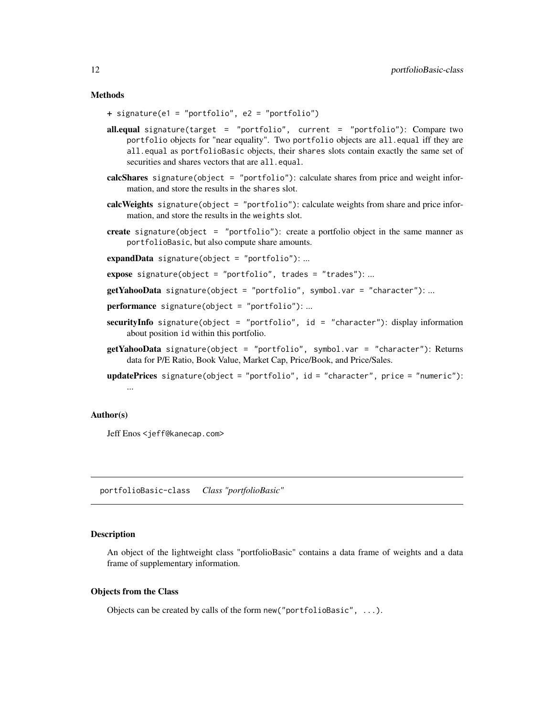#### **Methods**

+ signature(e1 = "portfolio", e2 = "portfolio")

- all.equal signature(target = "portfolio", current = "portfolio"): Compare two portfolio objects for "near equality". Two portfolio objects are all.equal iff they are all.equal as portfolioBasic objects, their shares slots contain exactly the same set of securities and shares vectors that are all.equal.
- calcShares signature(object = "portfolio"): calculate shares from price and weight information, and store the results in the shares slot.
- calcWeights signature(object = "portfolio"): calculate weights from share and price information, and store the results in the weights slot.
- create signature(object = "portfolio"): create a portfolio object in the same manner as portfolioBasic, but also compute share amounts.

expandData signature(object = "portfolio"): ...

- **expose** signature(object = "portfolio", trades = "trades"): ...
- getYahooData signature(object = "portfolio", symbol.var = "character"): ...
- performance signature(object = "portfolio"): ...
- securityInfo signature(object = "portfolio", id = "character"): display information about position id within this portfolio.
- getYahooData signature(object = "portfolio", symbol.var = "character"): Returns data for P/E Ratio, Book Value, Market Cap, Price/Book, and Price/Sales.

updatePrices signature(object = "portfolio", id = "character", price = "numeric"): ...

#### Author(s)

Jeff Enos <jeff@kanecap.com>

<span id="page-11-1"></span>portfolioBasic-class *Class "portfolioBasic"*

#### **Description**

An object of the lightweight class "portfolioBasic" contains a data frame of weights and a data frame of supplementary information.

#### Objects from the Class

Objects can be created by calls of the form new("portfolioBasic", ...).

<span id="page-11-0"></span>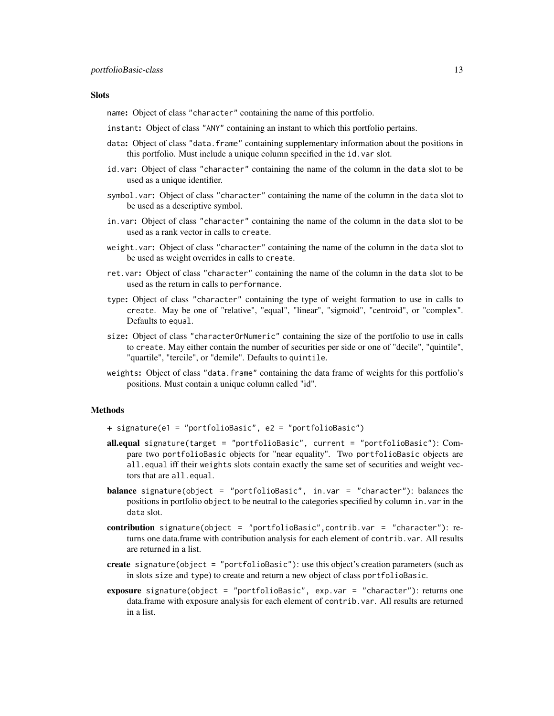#### **Slots**

name: Object of class "character" containing the name of this portfolio.

instant: Object of class "ANY" containing an instant to which this portfolio pertains.

- data: Object of class "data. frame" containing supplementary information about the positions in this portfolio. Must include a unique column specified in the id.var slot.
- id.var: Object of class "character" containing the name of the column in the data slot to be used as a unique identifier.
- symbol.var: Object of class "character" containing the name of the column in the data slot to be used as a descriptive symbol.
- in.var: Object of class "character" containing the name of the column in the data slot to be used as a rank vector in calls to create.
- weight.var: Object of class "character" containing the name of the column in the data slot to be used as weight overrides in calls to create.
- ret.var: Object of class "character" containing the name of the column in the data slot to be used as the return in calls to performance.
- type: Object of class "character" containing the type of weight formation to use in calls to create. May be one of "relative", "equal", "linear", "sigmoid", "centroid", or "complex". Defaults to equal.
- size: Object of class "characterOrNumeric" containing the size of the portfolio to use in calls to create. May either contain the number of securities per side or one of "decile", "quintile", "quartile", "tercile", or "demile". Defaults to quintile.
- weights: Object of class "data.frame" containing the data frame of weights for this portfolio's positions. Must contain a unique column called "id".

#### Methods

- + signature(e1 = "portfolioBasic", e2 = "portfolioBasic")
- all.equal signature(target = "portfolioBasic", current = "portfolioBasic"): Compare two portfolioBasic objects for "near equality". Two portfolioBasic objects are all.equal iff their weights slots contain exactly the same set of securities and weight vectors that are all.equal.
- balance signature(object = "portfolioBasic", in.var = "character"): balances the positions in portfolio object to be neutral to the categories specified by column in.var in the data slot.
- contribution signature(object = "portfolioBasic",contrib.var = "character"): returns one data.frame with contribution analysis for each element of contrib.var. All results are returned in a list.
- create signature(object = "portfolioBasic"): use this object's creation parameters (such as in slots size and type) to create and return a new object of class portfolioBasic.
- exposure signature(object = "portfolioBasic", exp.var = "character"): returns one data.frame with exposure analysis for each element of contrib.var. All results are returned in a list.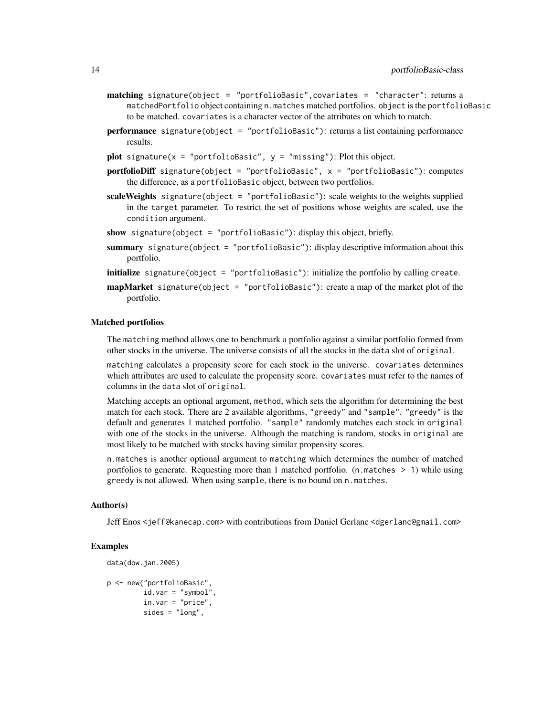- matching signature(object = "portfolioBasic", covariates = "character": returns a matchedPortfolio object containing n.matches matched portfolios. object is the portfolioBasic to be matched. covariates is a character vector of the attributes on which to match.
- **performance** signature(object = "portfolioBasic"): returns a list containing performance results.
- plot signature( $x =$  "portfolioBasic",  $y =$  "missing"): Plot this object.
- portfolioDiff signature(object = "portfolioBasic", x = "portfolioBasic"): computes the difference, as a portfolioBasic object, between two portfolios.
- scaleWeights signature(object = "portfolioBasic"): scale weights to the weights supplied in the target parameter. To restrict the set of positions whose weights are scaled, use the condition argument.
- show signature(object = "portfolioBasic"): display this object, briefly.
- summary signature(object = "portfolioBasic"): display descriptive information about this portfolio.
- initialize signature(object = "portfolioBasic"): initialize the portfolio by calling create.
- **mapMarket** signature(object = "portfolioBasic"): create a map of the market plot of the portfolio.

#### Matched portfolios

The matching method allows one to benchmark a portfolio against a similar portfolio formed from other stocks in the universe. The universe consists of all the stocks in the data slot of original.

matching calculates a propensity score for each stock in the universe. covariates determines which attributes are used to calculate the propensity score. covariates must refer to the names of columns in the data slot of original.

Matching accepts an optional argument, method, which sets the algorithm for determining the best match for each stock. There are 2 available algorithms, "greedy" and "sample". "greedy" is the default and generates 1 matched portfolio. "sample" randomly matches each stock in original with one of the stocks in the universe. Although the matching is random, stocks in original are most likely to be matched with stocks having similar propensity scores.

n.matches is another optional argument to matching which determines the number of matched portfolios to generate. Requesting more than 1 matched portfolio. (n.matches > 1) while using greedy is not allowed. When using sample, there is no bound on n.matches.

#### Author(s)

Jeff Enos <jeff@kanecap.com> with contributions from Daniel Gerlanc <dgerlanc@gmail.com>

#### Examples

```
data(dow.jan.2005)
p <- new("portfolioBasic",
        id.var = "symbol",
        in.var = "price",
        sides = "long",
```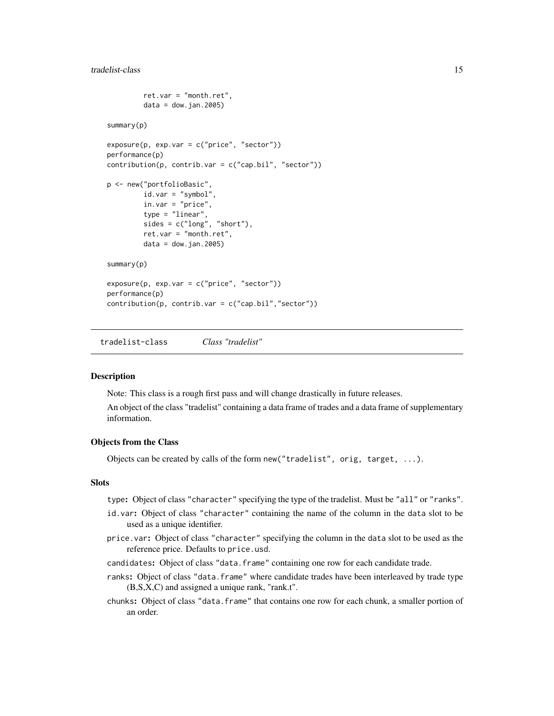```
ret.var = "month.ret",
         data = down.join.2005)summary(p)
exposure(p, exp-var = c("price", "sector"))performance(p)
contribution(p, contrib.var = c("cap.bil", "sector"))
p <- new("portfolioBasic",
         id.var = "symbol",
         in.var = "price",
         type = "linear",
         sides = c("long", "short"),ret.var = "month.ret",
        data = down.join.2005)summary(p)
exposure(p, exp.var = c("price", "sector"))
performance(p)
contribution(p, contrib.var = c("cap.bil", "sector")
```
<span id="page-14-1"></span>tradelist-class *Class "tradelist"*

#### Description

Note: This class is a rough first pass and will change drastically in future releases.

An object of the class "tradelist" containing a data frame of trades and a data frame of supplementary information.

#### Objects from the Class

Objects can be created by calls of the form new("tradelist", orig, target, ...).

#### **Slots**

type: Object of class "character" specifying the type of the tradelist. Must be "all" or "ranks".

- id.var: Object of class "character" containing the name of the column in the data slot to be used as a unique identifier.
- price.var: Object of class "character" specifying the column in the data slot to be used as the reference price. Defaults to price.usd.
- candidates: Object of class "data.frame" containing one row for each candidate trade.
- ranks: Object of class "data.frame" where candidate trades have been interleaved by trade type (B,S,X,C) and assigned a unique rank, "rank.t".
- chunks: Object of class "data.frame" that contains one row for each chunk, a smaller portion of an order.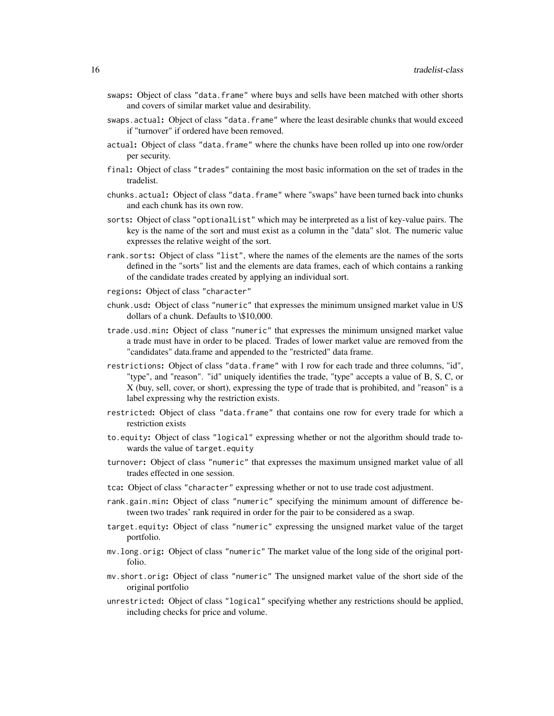- swaps: Object of class "data.frame" where buys and sells have been matched with other shorts and covers of similar market value and desirability.
- swaps.actual: Object of class "data.frame" where the least desirable chunks that would exceed if "turnover" if ordered have been removed.
- actual: Object of class "data.frame" where the chunks have been rolled up into one row/order per security.
- final: Object of class "trades" containing the most basic information on the set of trades in the tradelist.
- chunks.actual: Object of class "data.frame" where "swaps" have been turned back into chunks and each chunk has its own row.
- sorts: Object of class "optionalList" which may be interpreted as a list of key-value pairs. The key is the name of the sort and must exist as a column in the "data" slot. The numeric value expresses the relative weight of the sort.
- rank.sorts: Object of class "list", where the names of the elements are the names of the sorts defined in the "sorts" list and the elements are data frames, each of which contains a ranking of the candidate trades created by applying an individual sort.
- regions: Object of class "character"
- chunk.usd: Object of class "numeric" that expresses the minimum unsigned market value in US dollars of a chunk. Defaults to \\$10,000.
- trade.usd.min: Object of class "numeric" that expresses the minimum unsigned market value a trade must have in order to be placed. Trades of lower market value are removed from the "candidates" data.frame and appended to the "restricted" data frame.
- restrictions: Object of class "data.frame" with 1 row for each trade and three columns, "id", "type", and "reason". "id" uniquely identifies the trade, "type" accepts a value of B, S, C, or X (buy, sell, cover, or short), expressing the type of trade that is prohibited, and "reason" is a label expressing why the restriction exists.
- restricted: Object of class "data.frame" that contains one row for every trade for which a restriction exists
- to.equity: Object of class "logical" expressing whether or not the algorithm should trade towards the value of target.equity
- turnover: Object of class "numeric" that expresses the maximum unsigned market value of all trades effected in one session.
- tca: Object of class "character" expressing whether or not to use trade cost adjustment.
- rank.gain.min: Object of class "numeric" specifying the minimum amount of difference between two trades' rank required in order for the pair to be considered as a swap.
- target.equity: Object of class "numeric" expressing the unsigned market value of the target portfolio.
- mv.long.orig: Object of class "numeric" The market value of the long side of the original portfolio.
- mv.short.orig: Object of class "numeric" The unsigned market value of the short side of the original portfolio
- unrestricted: Object of class "logical" specifying whether any restrictions should be applied, including checks for price and volume.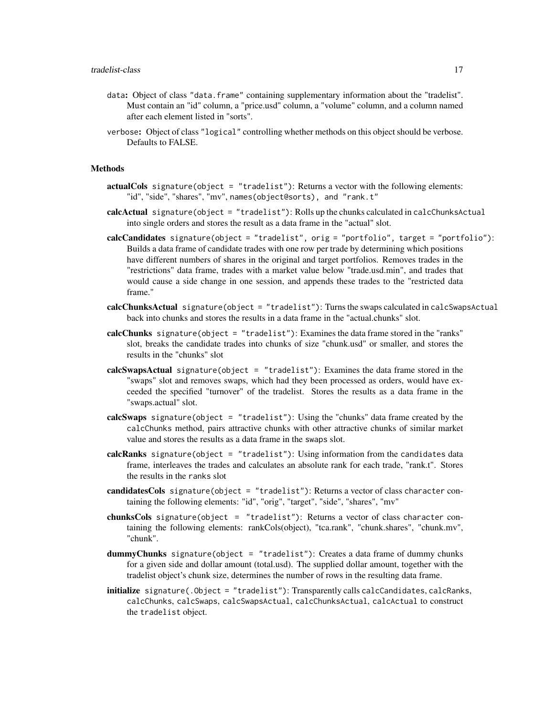- data: Object of class "data.frame" containing supplementary information about the "tradelist". Must contain an "id" column, a "price.usd" column, a "volume" column, and a column named after each element listed in "sorts".
- verbose: Object of class "logical" controlling whether methods on this object should be verbose. Defaults to FALSE.

#### Methods

- actualCols signature(object = "tradelist"): Returns a vector with the following elements: "id", "side", "shares", "mv", names(object@sorts), and "rank.t"
- calcActual signature(object = "tradelist"): Rolls up the chunks calculated in calcChunksActual into single orders and stores the result as a data frame in the "actual" slot.
- calcCandidates signature(object = "tradelist", orig = "portfolio", target = "portfolio"): Builds a data frame of candidate trades with one row per trade by determining which positions have different numbers of shares in the original and target portfolios. Removes trades in the "restrictions" data frame, trades with a market value below "trade.usd.min", and trades that would cause a side change in one session, and appends these trades to the "restricted data frame."
- calcChunksActual signature(object = "tradelist"): Turns the swaps calculated in calcSwapsActual back into chunks and stores the results in a data frame in the "actual.chunks" slot.
- calcChunks signature(object = "tradelist"): Examines the data frame stored in the "ranks" slot, breaks the candidate trades into chunks of size "chunk.usd" or smaller, and stores the results in the "chunks" slot
- calcSwapsActual signature(object = "tradelist"): Examines the data frame stored in the "swaps" slot and removes swaps, which had they been processed as orders, would have exceeded the specified "turnover" of the tradelist. Stores the results as a data frame in the "swaps.actual" slot.
- calcSwaps signature(object = "tradelist"): Using the "chunks" data frame created by the calcChunks method, pairs attractive chunks with other attractive chunks of similar market value and stores the results as a data frame in the swaps slot.
- calcRanks signature(object = "tradelist"): Using information from the candidates data frame, interleaves the trades and calculates an absolute rank for each trade, "rank.t". Stores the results in the ranks slot
- candidatesCols signature(object = "tradelist"): Returns a vector of class character containing the following elements: "id", "orig", "target", "side", "shares", "mv"
- chunksCols signature(object = "tradelist"): Returns a vector of class character containing the following elements: rankCols(object), "tca.rank", "chunk.shares", "chunk.mv", "chunk".
- dummyChunks signature(object = "tradelist"): Creates a data frame of dummy chunks for a given side and dollar amount (total.usd). The supplied dollar amount, together with the tradelist object's chunk size, determines the number of rows in the resulting data frame.
- initialize signature(.Object = "tradelist"): Transparently calls calcCandidates, calcRanks, calcChunks, calcSwaps, calcSwapsActual, calcChunksActual, calcActual to construct the tradelist object.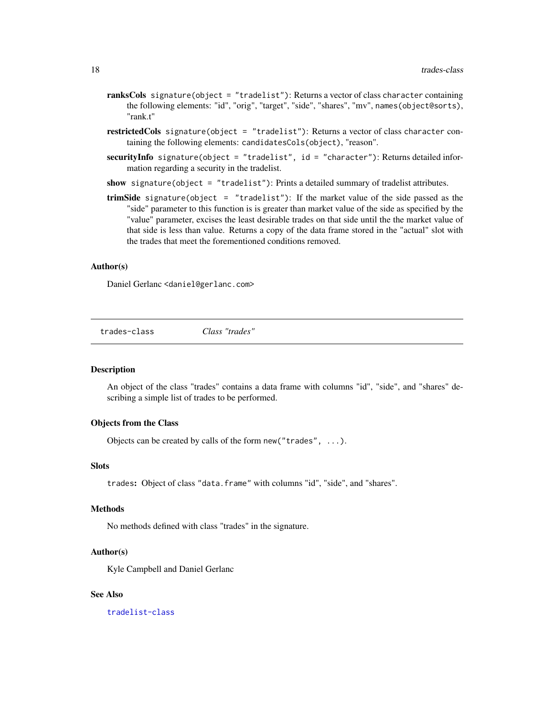- <span id="page-17-0"></span>ranksCols signature(object = "tradelist"): Returns a vector of class character containing the following elements: "id", "orig", "target", "side", "shares", "mv", names(object@sorts), "rank.t"
- restrictedCols signature(object = "tradelist"): Returns a vector of class character containing the following elements: candidatesCols(object), "reason".
- securityInfo signature(object = "tradelist", id = "character"): Returns detailed information regarding a security in the tradelist.
- show signature(object = "tradelist"): Prints a detailed summary of tradelist attributes.
- trimSide signature(object = "tradelist"): If the market value of the side passed as the "side" parameter to this function is is greater than market value of the side as specified by the "value" parameter, excises the least desirable trades on that side until the the market value of that side is less than value. Returns a copy of the data frame stored in the "actual" slot with the trades that meet the forementioned conditions removed.

#### Author(s)

Daniel Gerlanc <daniel@gerlanc.com>

trades-class *Class "trades"*

#### **Description**

An object of the class "trades" contains a data frame with columns "id", "side", and "shares" describing a simple list of trades to be performed.

#### Objects from the Class

Objects can be created by calls of the form new("trades", ...).

#### Slots

trades: Object of class "data.frame" with columns "id", "side", and "shares".

#### Methods

No methods defined with class "trades" in the signature.

#### Author(s)

Kyle Campbell and Daniel Gerlanc

#### See Also

[tradelist-class](#page-14-1)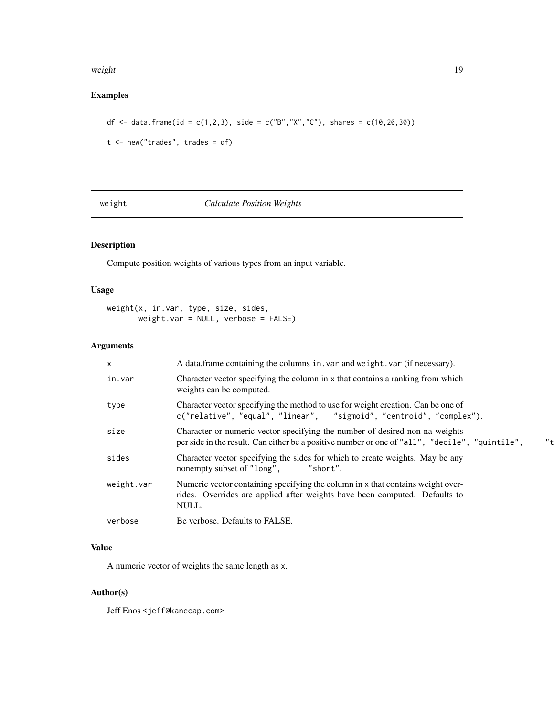#### <span id="page-18-0"></span>weight the contract of the contract of the contract of the contract of the contract of the contract of the contract of the contract of the contract of the contract of the contract of the contract of the contract of the con

### Examples

```
df <- data.frame(id = c(1,2,3), side = c("B","X","C"), shares = c(10,20,30))
```

```
t <- new("trades", trades = df)
```
weight *Calculate Position Weights*

### Description

Compute position weights of various types from an input variable.

#### Usage

weight(x, in.var, type, size, sides, weight.var = NULL, verbose = FALSE)

#### Arguments

| $\mathsf{x}$ | A data frame containing the columns in var and weight var (if necessary).                                                                                                              |
|--------------|----------------------------------------------------------------------------------------------------------------------------------------------------------------------------------------|
| in.var       | Character vector specifying the column in x that contains a ranking from which<br>weights can be computed.                                                                             |
| type         | Character vector specifying the method to use for weight creation. Can be one of<br>c("relative", "equal", "linear", "sigmoid", "centroid", "complex").                                |
| size         | Character or numeric vector specifying the number of desired non-na weights<br>$"$ +<br>per side in the result. Can either be a positive number or one of "all", "decile", "quintile", |
| sides        | Character vector specifying the sides for which to create weights. May be any<br>nonempty subset of "long",<br>"short".                                                                |
| weight.var   | Numeric vector containing specifying the column in x that contains weight over-<br>rides. Overrides are applied after weights have been computed. Defaults to<br>NULL.                 |
| verbose      | Be verbose. Defaults to FALSE.                                                                                                                                                         |

#### Value

A numeric vector of weights the same length as x.

#### Author(s)

Jeff Enos <jeff@kanecap.com>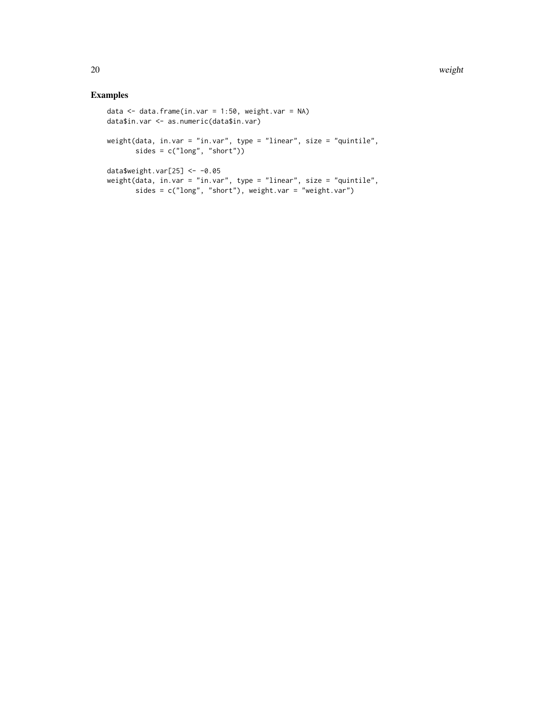#### Examples

```
data \leq data.frame(in.var = 1:50, weight.var = NA)
data$in.var <- as.numeric(data$in.var)
weight(data, in.var = "in.var", type = "linear", size = "quintile",
       sides = c("long", "short"))
data$weight.var[25] <- -0.05
weight(data, in.var = "in.var", type = "linear", size = "quintile",
       sides = c("long", "short"), weight.var = "weight.var")
```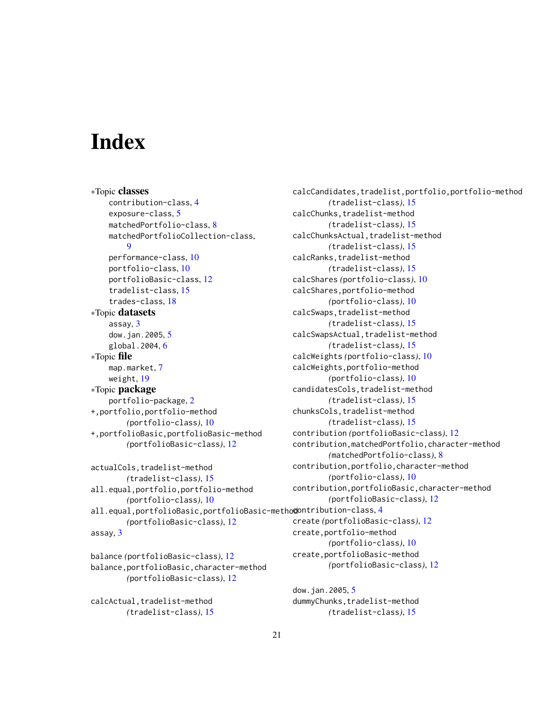# <span id="page-20-0"></span>**Index**

∗Topic classes contribution-class, [4](#page-3-0) exposure-class, [5](#page-4-0) matchedPortfolio-class, [8](#page-7-0) matchedPortfolioCollection-class, [9](#page-8-0) performance-class, [10](#page-9-0) portfolio-class, [10](#page-9-0) portfolioBasic-class, [12](#page-11-0) tradelist-class, [15](#page-14-0) trades-class, [18](#page-17-0) ∗Topic datasets assay, [3](#page-2-0) dow.jan.2005, [5](#page-4-0) global.2004, [6](#page-5-0) ∗Topic file map.market, [7](#page-6-0) weight, [19](#page-18-0) ∗Topic package portfolio-package, [2](#page-1-0) +,portfolio,portfolio-method *(*portfolio-class*)*, [10](#page-9-0) +,portfolioBasic,portfolioBasic-method *(*portfolioBasic-class*)*, [12](#page-11-0)

```
actualCols,tradelist-method
     (tradelist-class), 15
all.equal,portfolio,portfolio-method
     (portfolio-class), 10
4
     (portfolioBasic-class), 12
assay, 3
```

```
balance (portfolioBasic-class), 12
balance,portfolioBasic,character-method
        (portfolioBasic-class), 12
```
calcActual, tradelist-method *(*tradelist-class*)*, [15](#page-14-0) calcCandidates,tradelist,portfolio,portfolio-method *(*tradelist-class*)*, [15](#page-14-0) calcChunks,tradelist-method *(*tradelist-class*)*, [15](#page-14-0) calcChunksActual,tradelist-method *(*tradelist-class*)*, [15](#page-14-0) calcRanks,tradelist-method *(*tradelist-class*)*, [15](#page-14-0) calcShares *(*portfolio-class*)*, [10](#page-9-0) calcShares,portfolio-method *(*portfolio-class*)*, [10](#page-9-0) calcSwaps,tradelist-method *(*tradelist-class*)*, [15](#page-14-0) calcSwapsActual,tradelist-method *(*tradelist-class*)*, [15](#page-14-0) calcWeights *(*portfolio-class*)*, [10](#page-9-0) calcWeights,portfolio-method *(*portfolio-class*)*, [10](#page-9-0) candidatesCols,tradelist-method *(*tradelist-class*)*, [15](#page-14-0) chunksCols,tradelist-method *(*tradelist-class*)*, [15](#page-14-0) contribution *(*portfolioBasic-class*)*, [12](#page-11-0) contribution,matchedPortfolio,character-method *(*matchedPortfolio-class*)*, [8](#page-7-0) contribution,portfolio,character-method *(*portfolio-class*)*, [10](#page-9-0) contribution,portfolioBasic,character-method *(*portfolioBasic-class*)*, [12](#page-11-0) create *(*portfolioBasic-class*)*, [12](#page-11-0) create,portfolio-method *(*portfolio-class*)*, [10](#page-9-0) create,portfolioBasic-method *(*portfolioBasic-class*)*, [12](#page-11-0)

dow.jan.2005, [5](#page-4-0) dummyChunks, tradelist-method *(*tradelist-class*)*, [15](#page-14-0)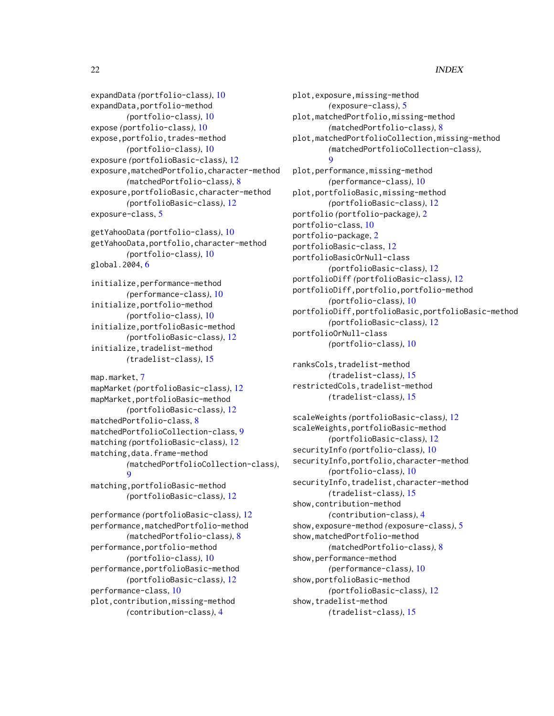#### 22 INDEX

expandData *(*portfolio-class*)*, [10](#page-9-0) expandData,portfolio-method *(*portfolio-class*)*, [10](#page-9-0) expose *(*portfolio-class*)*, [10](#page-9-0) expose,portfolio,trades-method *(*portfolio-class*)*, [10](#page-9-0) exposure *(*portfolioBasic-class*)*, [12](#page-11-0) exposure,matchedPortfolio,character-method *(*matchedPortfolio-class*)*, [8](#page-7-0) exposure,portfolioBasic,character-method *(*portfolioBasic-class*)*, [12](#page-11-0) exposure-class, [5](#page-4-0)

getYahooData *(*portfolio-class*)*, [10](#page-9-0) getYahooData,portfolio,character-method *(*portfolio-class*)*, [10](#page-9-0) global.2004, [6](#page-5-0)

initialize,performance-method *(*performance-class*)*, [10](#page-9-0) initialize,portfolio-method *(*portfolio-class*)*, [10](#page-9-0) initialize,portfolioBasic-method *(*portfolioBasic-class*)*, [12](#page-11-0) initialize,tradelist-method *(*tradelist-class*)*, [15](#page-14-0)

```
map.market, 7
mapMarket (portfolioBasic-class), 12
mapMarket,portfolioBasic-method
        (portfolioBasic-class), 12
matchedPortfolio-class, 8
matchedPortfolioCollection-class, 9
matching (portfolioBasic-class), 12
matching, data.frame-method
        (matchedPortfolioCollection-class),
        \Omegamatching,portfolioBasic-method
        (portfolioBasic-class), 12
```
performance *(*portfolioBasic-class*)*, [12](#page-11-0) performance,matchedPortfolio-method *(*matchedPortfolio-class*)*, [8](#page-7-0) performance,portfolio-method *(*portfolio-class*)*, [10](#page-9-0) performance,portfolioBasic-method *(*portfolioBasic-class*)*, [12](#page-11-0) performance-class, [10](#page-9-0) plot,contribution,missing-method *(*contribution-class*)*, [4](#page-3-0)

plot,exposure,missing-method *(*exposure-class*)*, [5](#page-4-0) plot,matchedPortfolio,missing-method *(*matchedPortfolio-class*)*, [8](#page-7-0) plot,matchedPortfolioCollection,missing-method *(*matchedPortfolioCollection-class*)*, [9](#page-8-0) plot,performance,missing-method *(*performance-class*)*, [10](#page-9-0) plot,portfolioBasic,missing-method *(*portfolioBasic-class*)*, [12](#page-11-0) portfolio *(*portfolio-package*)*, [2](#page-1-0) portfolio-class, [10](#page-9-0) portfolio-package, [2](#page-1-0) portfolioBasic-class, [12](#page-11-0) portfolioBasicOrNull-class *(*portfolioBasic-class*)*, [12](#page-11-0) portfolioDiff *(*portfolioBasic-class*)*, [12](#page-11-0) portfolioDiff,portfolio,portfolio-method *(*portfolio-class*)*, [10](#page-9-0) portfolioDiff,portfolioBasic,portfolioBasic-method *(*portfolioBasic-class*)*, [12](#page-11-0) portfolioOrNull-class *(*portfolio-class*)*, [10](#page-9-0)

ranksCols,tradelist-method *(*tradelist-class*)*, [15](#page-14-0) restrictedCols,tradelist-method *(*tradelist-class*)*, [15](#page-14-0)

scaleWeights *(*portfolioBasic-class*)*, [12](#page-11-0) scaleWeights,portfolioBasic-method *(*portfolioBasic-class*)*, [12](#page-11-0) securityInfo *(*portfolio-class*)*, [10](#page-9-0) securityInfo,portfolio,character-method *(*portfolio-class*)*, [10](#page-9-0) securityInfo, tradelist, character-method *(*tradelist-class*)*, [15](#page-14-0) show,contribution-method *(*contribution-class*)*, [4](#page-3-0) show,exposure-method *(*exposure-class*)*, [5](#page-4-0) show,matchedPortfolio-method *(*matchedPortfolio-class*)*, [8](#page-7-0) show,performance-method *(*performance-class*)*, [10](#page-9-0) show,portfolioBasic-method *(*portfolioBasic-class*)*, [12](#page-11-0) show,tradelist-method *(*tradelist-class*)*, [15](#page-14-0)